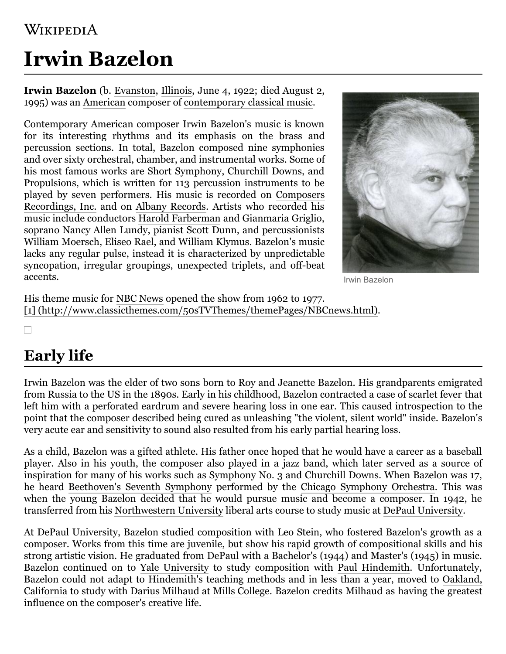#### WIKIPEDIA

# **Irwin Bazelon**

**Irwin Bazelon** (b. [Evanston](https://en.wikipedia.org/wiki/Evanston,_Illinois), [Illinois](https://en.wikipedia.org/wiki/Illinois), June 4, 1922; died August 2, 1995) was an [American](https://en.wikipedia.org/wiki/Americans) composer of [contemporary classical music.](https://en.wikipedia.org/wiki/Contemporary_classical_music)

Contemporary American composer Irwin Bazelon's music is known for its interesting rhythms and its emphasis on the brass and percussion sections. In total, Bazelon composed nine symphonies and over sixty orchestral, chamber, and instrumental works. Some of his most famous works are Short Symphony, Churchill Downs, and Propulsions, which is written for 113 percussion instruments to be played by [seven performers. His music is recorded on Composers](https://en.wikipedia.org/wiki/Composers_Recordings,_Inc.) Recordings, Inc. and on [Albany Records.](https://en.wikipedia.org/wiki/Albany_Records) Artists who recorded his music include conductors [Harold Farberman](https://en.wikipedia.org/wiki/Harold_Farberman) and Gianmaria Griglio, soprano Nancy Allen Lundy, pianist Scott Dunn, and percussionists William Moersch, Eliseo Rael, and William Klymus. Bazelon's music lacks any regular pulse, instead it is characterized by unpredictable syncopation, irregular groupings, unexpected triplets, and off-beat accents.



Irwin Bazelon

His theme music for [NBC News](https://en.wikipedia.org/wiki/NBC_News) opened the show from 1962 to 1977. [\[1\] \(http://www.classicthemes.com/50sTVThemes/themePages/NBCnews.html\)](http://www.classicthemes.com/50sTVThemes/themePages/NBCnews.html).

#### $\Box$

# **Early life**

Irwin Bazelon was the elder of two sons born to Roy and Jeanette Bazelon. His grandparents emigrated from Russia to the US in the 1890s. Early in his childhood, Bazelon contracted a case of [scarlet fever](https://en.wikipedia.org/wiki/Scarlet_fever) that left him with a perforated eardrum and severe hearing loss in one ear. This caused introspection to the point that the composer described being cured as unleashing "the violent, silent world" inside. Bazelon's very acute ear and sensitivity to sound also resulted from his early partial hearing loss.

As a child, Bazelon was a gifted athlete. His father once hoped that he would have a career as a baseball player. Also in his youth, the composer also played in a jazz band, which later served as a source of inspiration for many of his works such as Symphony No. 3 and Churchill Downs. When Bazelon was 17, he heard [Beethoven's Seventh Symphony](https://en.wikipedia.org/wiki/Beethoven%27s_7th_symphony) performed by the [Chicago Symphony Orchestra](https://en.wikipedia.org/wiki/Chicago_Symphony_Orchestra). This was when the young Bazelon decided that he would pursue music and become a composer. In 1942, he transferred from his [Northwestern University](https://en.wikipedia.org/wiki/Northwestern_University) liberal arts course to study music at [DePaul University](https://en.wikipedia.org/wiki/DePaul_University).

At DePaul University, Bazelon studied composition with Leo Stein, who fostered Bazelon's growth as a composer. Works from this time are juvenile, but show his rapid growth of compositional skills and his strong artistic vision. He graduated from DePaul with a Bachelor's (1944) and Master's (1945) in music. Bazelon continued on to [Yale University](https://en.wikipedia.org/wiki/Yale_University) to study composition with [Paul Hindemith.](https://en.wikipedia.org/wiki/Paul_Hindemith) Unfortunately, [Bazelon could not adapt to Hindemith's teaching methods and in less than a year, moved to Oakland,](https://en.wikipedia.org/wiki/Oakland,_California) California to study with [Darius Milhaud](https://en.wikipedia.org/wiki/Darius_Milhaud) at [Mills College](https://en.wikipedia.org/wiki/Mills_College). Bazelon credits Milhaud as having the greatest influence on the composer's creative life.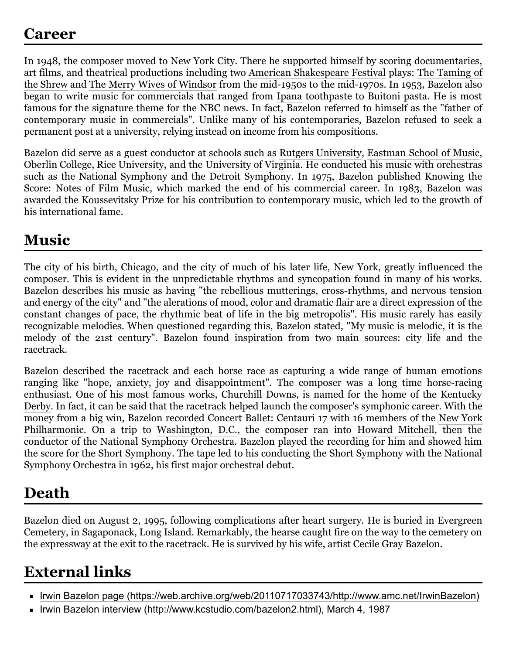In 1948, the composer moved to [New York City](https://en.wikipedia.org/wiki/New_York_City). There he supported himself by scoring documentaries, [art films, and theatrical productions including two](https://en.wikipedia.org/wiki/The_Taming_of_the_Shrew) [American Shakespeare Festival](https://en.wikipedia.org/wiki/American_Shakespeare_Festival) plays: The Taming of the Shrew and [The Merry Wives of Windsor](https://en.wikipedia.org/wiki/The_Merry_Wives_of_Windsor) from the mid-1950s to the mid-1970s. In 1953, Bazelon also began to write music for commercials that ranged from [Ipana](https://en.wikipedia.org/wiki/Ipana) toothpaste to Buitoni pasta. He is most famous for the signature theme for the NBC news. In fact, Bazelon referred to himself as the "father of contemporary music in commercials". Unlike many of his contemporaries, Bazelon refused to seek a permanent post at a university, relying instead on income from his compositions.

Bazelon did serve as a guest conductor at schools such as [Rutgers University,](https://en.wikipedia.org/wiki/Rutgers_University) [Eastman School of Music](https://en.wikipedia.org/wiki/Eastman_School_of_Music), [Oberlin College](https://en.wikipedia.org/wiki/Oberlin_College), [Rice University](https://en.wikipedia.org/wiki/Rice_University), and the [University of Virginia.](https://en.wikipedia.org/wiki/University_of_Virginia) He conducted his music with orchestras such as the [National Symphony](https://en.wikipedia.org/wiki/National_Symphony_Orchestra_(United_States)) and the [Detroit Symphony](https://en.wikipedia.org/wiki/Detroit_Symphony_Orchestra). In 1975, Bazelon published Knowing the Score: Notes of Film Music, which marked the end of his commercial career. In 1983, Bazelon was awarded the Koussevitsky Prize for his contribution to contemporary music, which led to the growth of his international fame.

#### **Music**

The city of his birth, [Chicago,](https://en.wikipedia.org/wiki/Chicago) and the city of much of his later life, New York, greatly influenced the composer. This is evident in the unpredictable rhythms and syncopation found in many of his works. Bazelon describes his music as having "the rebellious mutterings, cross-rhythms, and nervous tension and energy of the city" and "the alerations of mood, color and dramatic flair are a direct expression of the constant changes of pace, the rhythmic beat of life in the big metropolis". His music rarely has easily recognizable melodies. When questioned regarding this, Bazelon stated, "My music is melodic, it is the melody of the 21st century". Bazelon found inspiration from two main sources: city life and the racetrack.

Bazelon described the racetrack and each horse race as capturing a wide range of human emotions ranging like "hope, anxiety, joy and disappointment". The composer was a long time horse-racing [enthusiast. One of his most famous works, Churchill Downs, is named for the home of the Kentucky](https://en.wikipedia.org/wiki/Kentucky_Derby) Derby. In fact, it can be said that the racetrack helped launch the composer's symphonic career. With the [money from a big win, Bazelon recorded Concert Ballet: Centauri 17 with 16 members of the New York](https://en.wikipedia.org/wiki/New_York_Philharmonic) Philharmonic. On a trip to [Washington, D.C.](https://en.wikipedia.org/wiki/Washington,_D.C.), the composer ran into [Howard Mitchell,](https://en.wikipedia.org/wiki/Howard_Mitchell) then the conductor of the National Symphony Orchestra. Bazelon played the recording for him and showed him the score for the Short Symphony. The tape led to his conducting the Short Symphony with the National Symphony Orchestra in 1962, his first major orchestral debut.

## **Death**

Bazelon died on August 2, 1995, following complications after heart surgery. He is buried in Evergreen Cemetery, in Sagaponack, Long Island. Remarkably, the hearse caught fire on the way to the cemetery on the expressway at the exit to the racetrack. He is survived by his wife, artist [Cecile Gray Bazelon](https://en.wikipedia.org/wiki/Cecile_Gray_Bazelon).

## **External links**

- [Irwin Bazelon page \(https://web.archive.org/web/20110717033743/http://www.amc.net/IrwinBazelon\)](https://web.archive.org/web/20110717033743/http://www.amc.net/IrwinBazelon)
- [Irwin Bazelon interview \(http://www.kcstudio.com/bazelon2.html\)](http://www.kcstudio.com/bazelon2.html), March 4, 1987